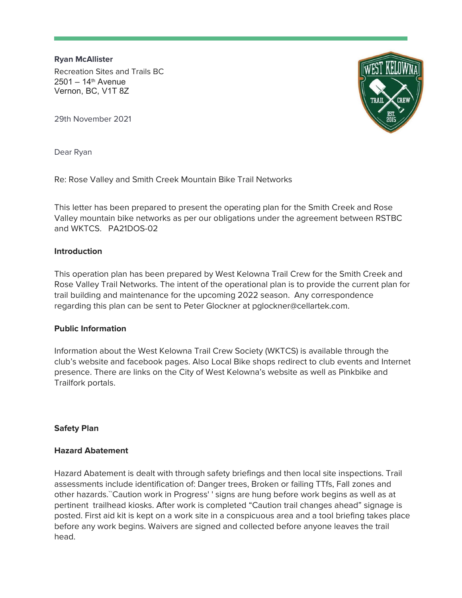Ryan McAllister Recreation Sites and Trails BC  $2501 - 14$ <sup>th</sup> Avenue Vernon, BC, V1T 8Z



29th November 2021

Dear Ryan

Re: Rose Valley and Smith Creek Mountain Bike Trail Networks

This letter has been prepared to present the operating plan for the Smith Creek and Rose Valley mountain bike networks as per our obligations under the agreement between RSTBC and WKTCS. PA21DOS-02

## **Introduction**

This operation plan has been prepared by West Kelowna Trail Crew for the Smith Creek and Rose Valley Trail Networks. The intent of the operational plan is to provide the current plan for trail building and maintenance for the upcoming 2022 season. Any correspondence regarding this plan can be sent to Peter Glockner at pglockner@cellartek.com.

## Public Information

Information about the West Kelowna Trail Crew Society (WKTCS) is available through the club's website and facebook pages. Also Local Bike shops redirect to club events and Internet presence. There are links on the City of West Kelowna's website as well as Pinkbike and Trailfork portals.

## Safety Plan

## Hazard Abatement

Hazard Abatement is dealt with through safety briefings and then local site inspections. Trail assessments include identification of: Danger trees, Broken or failing TTfs, Fall zones and other hazards.``Caution work in Progress' ' signs are hung before work begins as well as at pertinent trailhead kiosks. After work is completed "Caution trail changes ahead" signage is posted. First aid kit is kept on a work site in a conspicuous area and a tool briefing takes place before any work begins. Waivers are signed and collected before anyone leaves the trail head.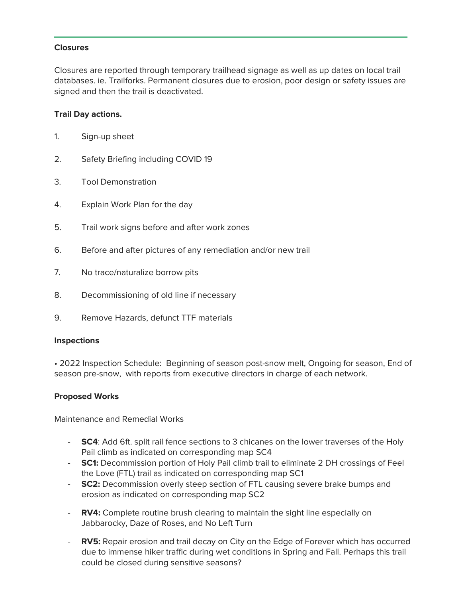## **Closures**

Closures are reported through temporary trailhead signage as well as up dates on local trail databases. ie. Trailforks. Permanent closures due to erosion, poor design or safety issues are signed and then the trail is deactivated.

# Trail Day actions.

- 1. Sign-up sheet
- 2. Safety Briefing including COVID 19
- 3. Tool Demonstration
- 4. Explain Work Plan for the day
- 5. Trail work signs before and after work zones
- 6. Before and after pictures of any remediation and/or new trail
- 7. No trace/naturalize borrow pits
- 8. Decommissioning of old line if necessary
- 9. Remove Hazards, defunct TTF materials

## Inspections

• 2022 Inspection Schedule: Beginning of season post-snow melt, Ongoing for season, End of season pre-snow, with reports from executive directors in charge of each network.

## Proposed Works

Maintenance and Remedial Works

- **SC4:** Add 6ft. split rail fence sections to 3 chicanes on the lower traverses of the Holy Pail climb as indicated on corresponding map SC4
- SC1: Decommission portion of Holy Pail climb trail to eliminate 2 DH crossings of Feel the Love (FTL) trail as indicated on corresponding map SC1
- SC2: Decommission overly steep section of FTL causing severe brake bumps and erosion as indicated on corresponding map SC2
- RV4: Complete routine brush clearing to maintain the sight line especially on Jabbarocky, Daze of Roses, and No Left Turn
- RV5: Repair erosion and trail decay on City on the Edge of Forever which has occurred due to immense hiker traffic during wet conditions in Spring and Fall. Perhaps this trail could be closed during sensitive seasons?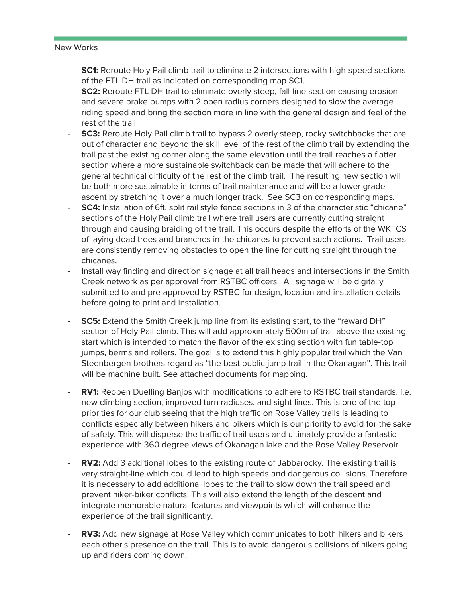#### New Works

- **SC1:** Reroute Holy Pail climb trail to eliminate 2 intersections with high-speed sections of the FTL DH trail as indicated on corresponding map SC1.
- **SC2:** Reroute FTL DH trail to eliminate overly steep, fall-line section causing erosion and severe brake bumps with 2 open radius corners designed to slow the average riding speed and bring the section more in line with the general design and feel of the rest of the trail
- **SC3:** Reroute Holy Pail climb trail to bypass 2 overly steep, rocky switchbacks that are out of character and beyond the skill level of the rest of the climb trail by extending the trail past the existing corner along the same elevation until the trail reaches a flatter section where a more sustainable switchback can be made that will adhere to the general technical difficulty of the rest of the climb trail. The resulting new section will be both more sustainable in terms of trail maintenance and will be a lower grade ascent by stretching it over a much longer track. See SC3 on corresponding maps.
- **SC4:** Installation of 6ft. split rail style fence sections in 3 of the characteristic "chicane" sections of the Holy Pail climb trail where trail users are currently cutting straight through and causing braiding of the trail. This occurs despite the efforts of the WKTCS of laying dead trees and branches in the chicanes to prevent such actions. Trail users are consistently removing obstacles to open the line for cutting straight through the chicanes.
- Install way finding and direction signage at all trail heads and intersections in the Smith Creek network as per approval from RSTBC officers. All signage will be digitally submitted to and pre-approved by RSTBC for design, location and installation details before going to print and installation.
- SC5: Extend the Smith Creek jump line from its existing start, to the "reward DH" section of Holy Pail climb. This will add approximately 500m of trail above the existing start which is intended to match the flavor of the existing section with fun table-top jumps, berms and rollers. The goal is to extend this highly popular trail which the Van Steenbergen brothers regard as "the best public jump trail in the Okanagan''. This trail will be machine built. See attached documents for mapping.
- RV1: Reopen Duelling Banjos with modifications to adhere to RSTBC trail standards. I.e. new climbing section, improved turn radiuses. and sight lines. This is one of the top priorities for our club seeing that the high traffic on Rose Valley trails is leading to conflicts especially between hikers and bikers which is our priority to avoid for the sake of safety. This will disperse the traffic of trail users and ultimately provide a fantastic experience with 360 degree views of Okanagan lake and the Rose Valley Reservoir.
- RV2: Add 3 additional lobes to the existing route of Jabbarocky. The existing trail is very straight-line which could lead to high speeds and dangerous collisions. Therefore it is necessary to add additional lobes to the trail to slow down the trail speed and prevent hiker-biker conflicts. This will also extend the length of the descent and integrate memorable natural features and viewpoints which will enhance the experience of the trail significantly.
- RV3: Add new signage at Rose Valley which communicates to both hikers and bikers each other's presence on the trail. This is to avoid dangerous collisions of hikers going up and riders coming down.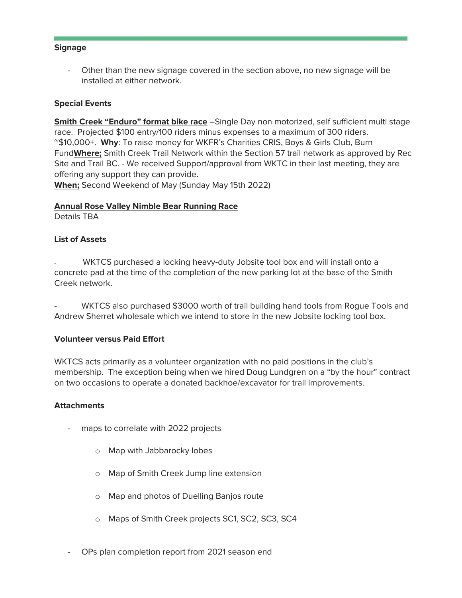### **Signage**

Other than the new signage covered in the section above, no new signage will be installed at either network.

## Special Events

**Smith Creek "Enduro" format bike race** -Single Day non motorized, self sufficient multi stage race. Projected \$100 entry/100 riders minus expenses to a maximum of 300 riders. ~\$10,000+. Why: To raise money for WKFR's Charities CRIS, Boys & Girls Club, Burn FundWhere; Smith Creek Trail Network within the Section 57 trail network as approved by Rec Site and Trail BC. - We received Support/approval from WKTC in their last meeting, they are offering any support they can provide.

When; Second Weekend of May (Sunday May 15th 2022)

### Annual Rose Valley Nimble Bear Running Race

Details TBA

### List of Assets

WKTCS purchased a locking heavy-duty Jobsite tool box and will install onto a concrete pad at the time of the completion of the new parking lot at the base of the Smith Creek network.

WKTCS also purchased \$3000 worth of trail building hand tools from Rogue Tools and Andrew Sherret wholesale which we intend to store in the new Jobsite locking tool box.

#### Volunteer versus Paid Effort

WKTCS acts primarily as a volunteer organization with no paid positions in the club's membership. The exception being when we hired Doug Lundgren on a "by the hour" contract on two occasions to operate a donated backhoe/excavator for trail improvements.

#### **Attachments**

- maps to correlate with 2022 projects
	- o Map with Jabbarocky lobes
	- o Map of Smith Creek Jump line extension
	- o Map and photos of Duelling Banjos route
	- o Maps of Smith Creek projects SC1, SC2, SC3, SC4
- OPs plan completion report from 2021 season end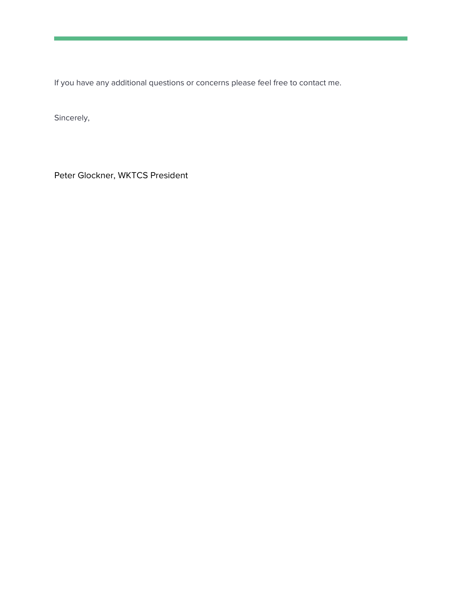If you have any additional questions or concerns please feel free to contact me.

Sincerely,

Peter Glockner, WKTCS President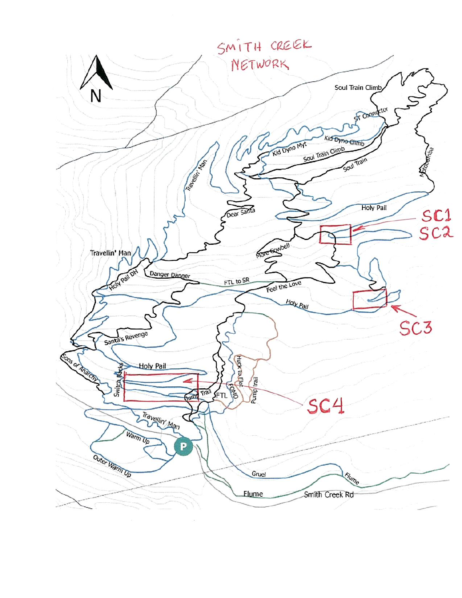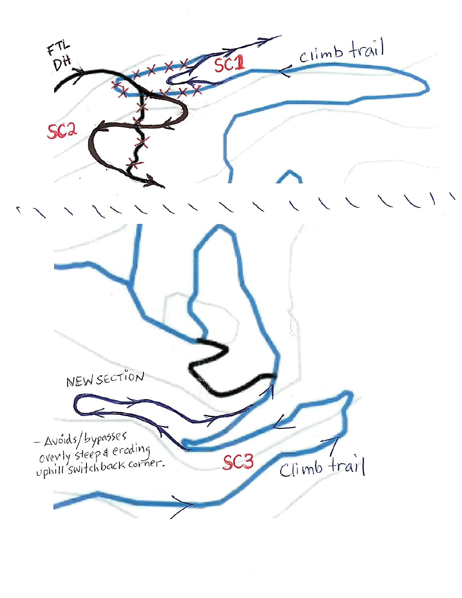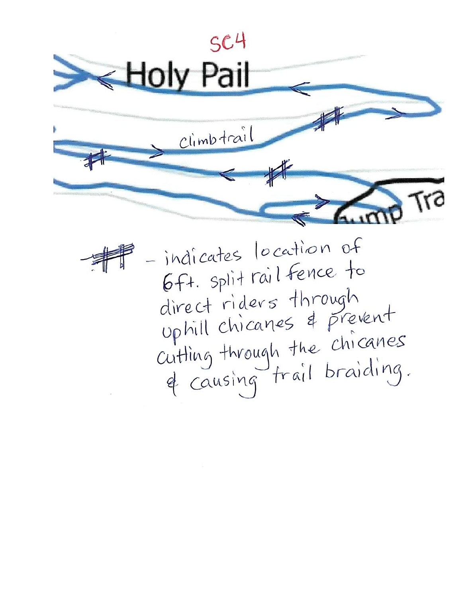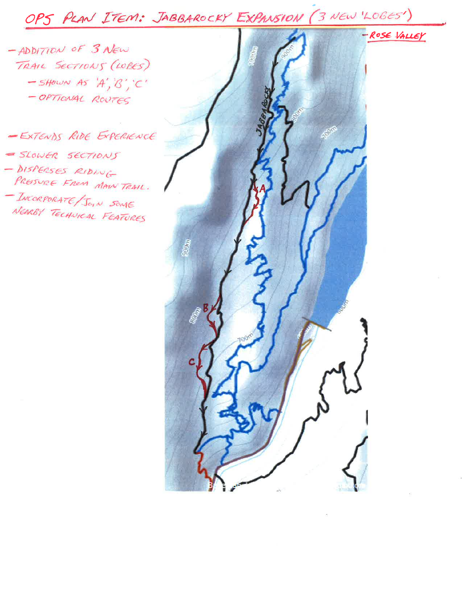OPS PLAN ITEM: JABBAROCKY EXPANSION (3 NEW LOGES)

-ADDITION OF 3 NEW TRAIL SECTIONS (LOBES)  $-S$ HOWN AS 'A', 'B', 'C' - OPTIONAL ROUTES

-EXTENDS RIDE EXPERIENCE - SLOWER SECTIONS - DISPERSES RIDING PRESSURE FROM MAIN TRAIL. - INCORPORATE/JOIN SOME NEARBY TECHNICAL FEATURES